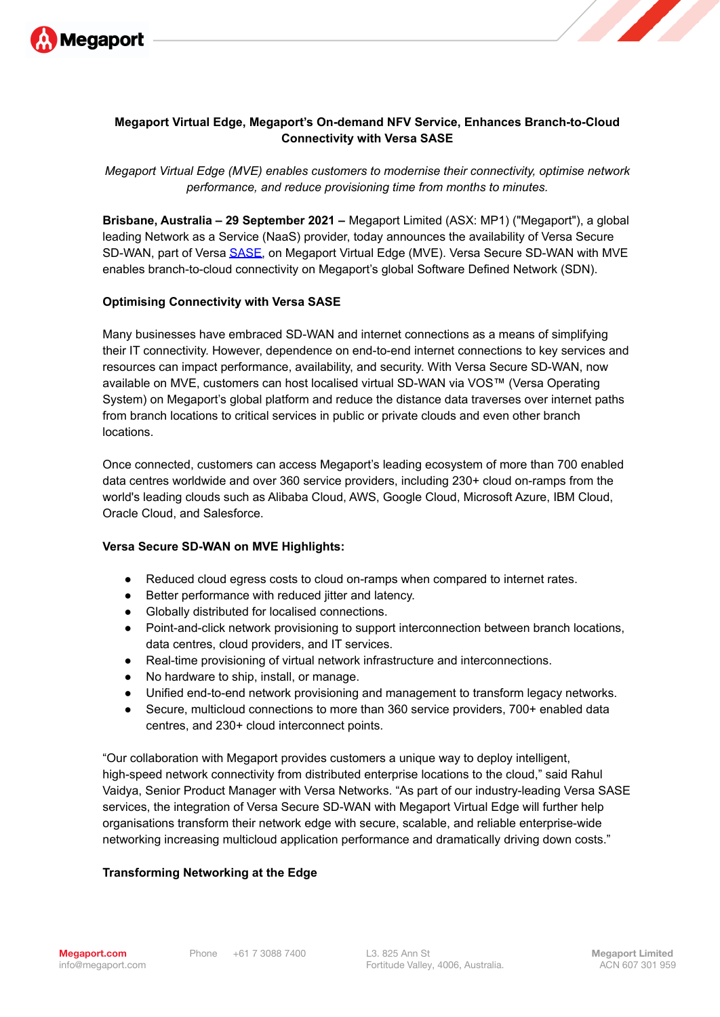

# **Megaport Virtual Edge, Megaport's On-demand NFV Service, Enhances Branch-to-Cloud Connectivity with Versa SASE**

*Megaport Virtual Edge (MVE) enables customers to modernise their connectivity, optimise network performance, and reduce provisioning time from months to minutes.*

**Brisbane, Australia – 29 September 2021 –** Megaport Limited (ASX: MP1) ("Megaport"), a global leading Network as a Service (NaaS) provider, today announces the availability of Versa Secure SD-WAN, part of Versa [SASE,](https://versa-networks.com/sase/) on Megaport Virtual Edge (MVE). Versa Secure SD-WAN with MVE enables branch-to-cloud connectivity on Megaport's global Software Defined Network (SDN).

### **Optimising Connectivity with Versa SASE**

Many businesses have embraced SD-WAN and internet connections as a means of simplifying their IT connectivity. However, dependence on end-to-end internet connections to key services and resources can impact performance, availability, and security. With Versa Secure SD-WAN, now available on MVE, customers can host localised virtual SD-WAN via VOS™ (Versa Operating System) on Megaport's global platform and reduce the distance data traverses over internet paths from branch locations to critical services in public or private clouds and even other branch locations.

Once connected, customers can access Megaport's leading ecosystem of more than 700 enabled data centres worldwide and over 360 service providers, including 230+ cloud on-ramps from the world's leading clouds such as Alibaba Cloud, AWS, Google Cloud, Microsoft Azure, IBM Cloud, Oracle Cloud, and Salesforce.

## **Versa Secure SD-WAN on MVE Highlights:**

- Reduced cloud egress costs to cloud on-ramps when compared to internet rates.
- Better performance with reduced jitter and latency.
- Globally distributed for localised connections.
- Point-and-click network provisioning to support interconnection between branch locations, data centres, cloud providers, and IT services.
- Real-time provisioning of virtual network infrastructure and interconnections.
- No hardware to ship, install, or manage.
- Unified end-to-end network provisioning and management to transform legacy networks.
- Secure, multicloud connections to more than 360 service providers, 700+ enabled data centres, and 230+ cloud interconnect points.

"Our collaboration with Megaport provides customers a unique way to deploy intelligent, high-speed network connectivity from distributed enterprise locations to the cloud," said Rahul Vaidya, Senior Product Manager with Versa Networks. "As part of our industry-leading Versa SASE services, the integration of Versa Secure SD-WAN with Megaport Virtual Edge will further help organisations transform their network edge with secure, scalable, and reliable enterprise-wide networking increasing multicloud application performance and dramatically driving down costs."

# **Transforming Networking at the Edge**